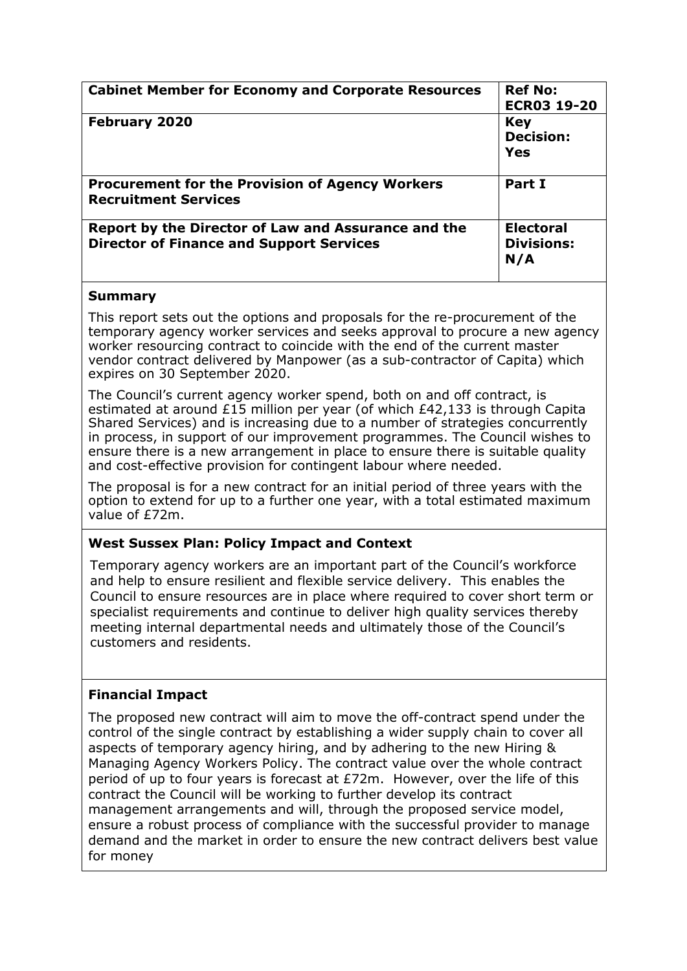| <b>Cabinet Member for Economy and Corporate Resources</b>                                              | <b>Ref No:</b><br><b>ECR03 19-20</b>         |
|--------------------------------------------------------------------------------------------------------|----------------------------------------------|
| <b>February 2020</b>                                                                                   | <b>Key</b><br><b>Decision:</b><br>Yes        |
| <b>Procurement for the Provision of Agency Workers</b><br><b>Recruitment Services</b>                  | Part I                                       |
| Report by the Director of Law and Assurance and the<br><b>Director of Finance and Support Services</b> | <b>Electoral</b><br><b>Divisions:</b><br>N/A |

### **Summary**

This report sets out the options and proposals for the re-procurement of the temporary agency worker services and seeks approval to procure a new agency worker resourcing contract to coincide with the end of the current master vendor contract delivered by Manpower (as a sub-contractor of Capita) which expires on 30 September 2020.

The Council's current agency worker spend, both on and off contract, is estimated at around £15 million per year (of which £42,133 is through Capita Shared Services) and is increasing due to a number of strategies concurrently in process, in support of our improvement programmes. The Council wishes to ensure there is a new arrangement in place to ensure there is suitable quality and cost-effective provision for contingent labour where needed.

The proposal is for a new contract for an initial period of three years with the option to extend for up to a further one year, with a total estimated maximum value of £72m.

## **West Sussex Plan: Policy Impact and Context**

Temporary agency workers are an important part of the Council's workforce and help to ensure resilient and flexible service delivery. This enables the Council to ensure resources are in place where required to cover short term or specialist requirements and continue to deliver high quality services thereby meeting internal departmental needs and ultimately those of the Council's customers and residents.

## **Financial Impact**

The proposed new contract will aim to move the off-contract spend under the control of the single contract by establishing a wider supply chain to cover all aspects of temporary agency hiring, and by adhering to the new Hiring & Managing Agency Workers Policy. The contract value over the whole contract period of up to four years is forecast at £72m. However, over the life of this contract the Council will be working to further develop its contract management arrangements and will, through the proposed service model, ensure a robust process of compliance with the successful provider to manage demand and the market in order to ensure the new contract delivers best value for money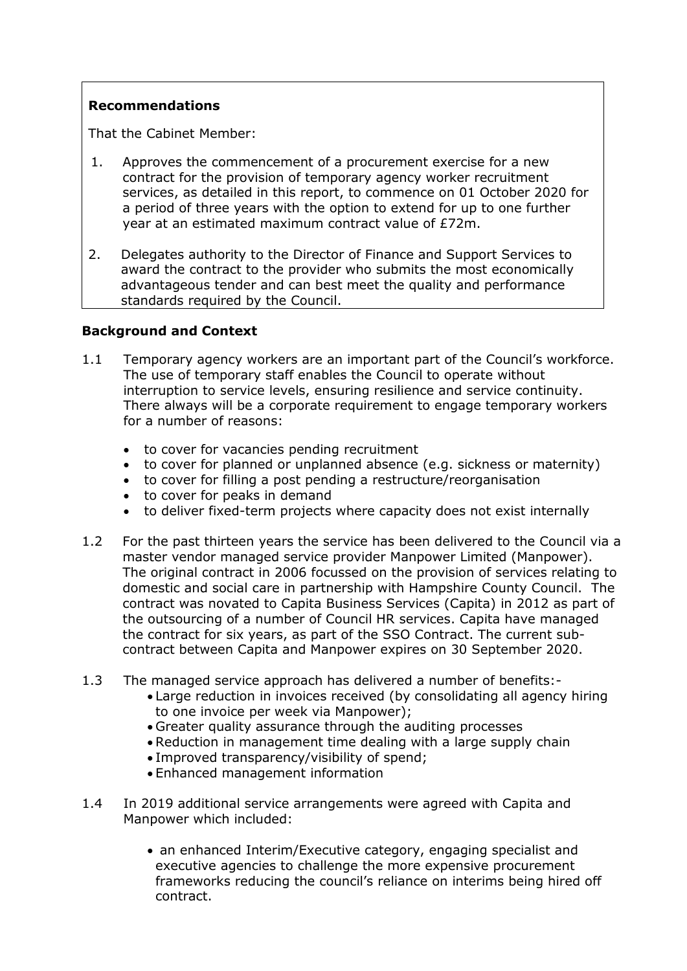### **Recommendations**

That the Cabinet Member:

- 1. Approves the commencement of a procurement exercise for a new contract for the provision of temporary agency worker recruitment services, as detailed in this report, to commence on 01 October 2020 for a period of three years with the option to extend for up to one further year at an estimated maximum contract value of £72m.
- 2. Delegates authority to the Director of Finance and Support Services to award the contract to the provider who submits the most economically advantageous tender and can best meet the quality and performance standards required by the Council.

#### **Background and Context**

- 1.1 Temporary agency workers are an important part of the Council's workforce. The use of temporary staff enables the Council to operate without interruption to service levels, ensuring resilience and service continuity. There always will be a corporate requirement to engage temporary workers for a number of reasons:
	- to cover for vacancies pending recruitment
	- to cover for planned or unplanned absence (e.g. sickness or maternity)
	- to cover for filling a post pending a restructure/reorganisation
	- to cover for peaks in demand
	- to deliver fixed-term projects where capacity does not exist internally
- 1.2 For the past thirteen years the service has been delivered to the Council via a master vendor managed service provider Manpower Limited (Manpower). The original contract in 2006 focussed on the provision of services relating to domestic and social care in partnership with Hampshire County Council. The contract was novated to Capita Business Services (Capita) in 2012 as part of the outsourcing of a number of Council HR services. Capita have managed the contract for six years, as part of the SSO Contract. The current subcontract between Capita and Manpower expires on 30 September 2020.
- 1.3 The managed service approach has delivered a number of benefits:-
	- Large reduction in invoices received (by consolidating all agency hiring to one invoice per week via Manpower);
	- Greater quality assurance through the auditing processes
	- Reduction in management time dealing with a large supply chain
	- Improved transparency/visibility of spend;
	- Enhanced management information
- 1.4 In 2019 additional service arrangements were agreed with Capita and Manpower which included:
	- an enhanced Interim/Executive category, engaging specialist and executive agencies to challenge the more expensive procurement frameworks reducing the council's reliance on interims being hired off contract.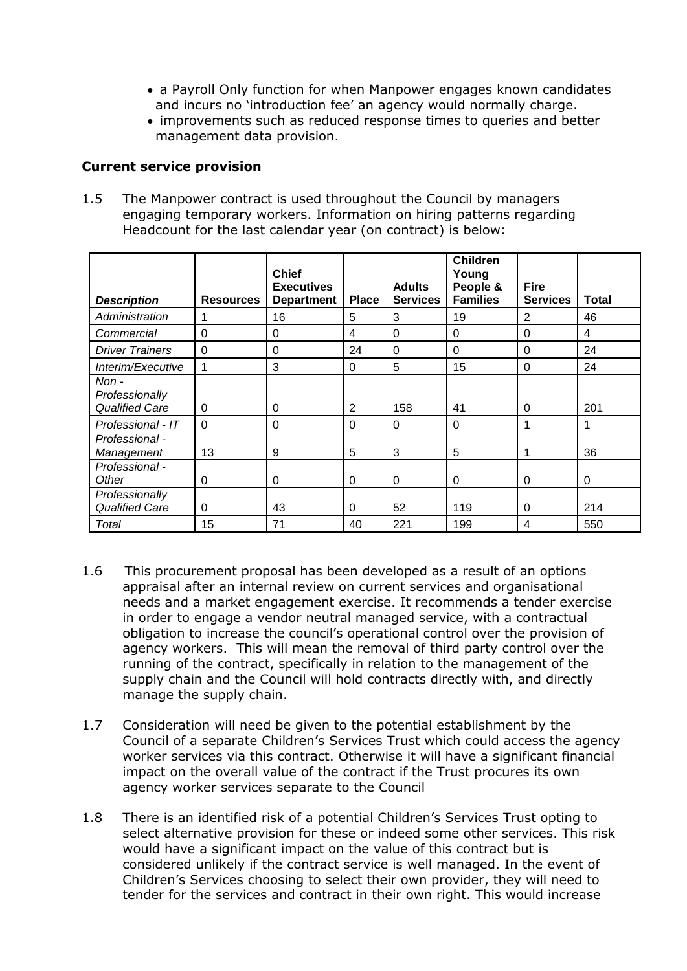- a Payroll Only function for when Manpower engages known candidates and incurs no 'introduction fee' an agency would normally charge.
- improvements such as reduced response times to queries and better management data provision.

#### **Current service provision**

1.5 The Manpower contract is used throughout the Council by managers engaging temporary workers. Information on hiring patterns regarding Headcount for the last calendar year (on contract) is below:

| <b>Description</b>                               | <b>Resources</b> | <b>Chief</b><br><b>Executives</b><br><b>Department</b> | <b>Place</b> | <b>Adults</b><br><b>Services</b> | <b>Children</b><br>Young<br>People &<br><b>Families</b> | Fire<br><b>Services</b> | <b>Total</b> |
|--------------------------------------------------|------------------|--------------------------------------------------------|--------------|----------------------------------|---------------------------------------------------------|-------------------------|--------------|
|                                                  |                  |                                                        | 5            |                                  |                                                         |                         | 46           |
| Administration                                   |                  | 16                                                     |              | 3                                | 19                                                      | 2                       |              |
| Commercial                                       | $\Omega$         | $\Omega$                                               | 4            | $\mathbf{0}$                     | $\Omega$                                                | $\Omega$                | 4            |
| <b>Driver Trainers</b>                           | $\Omega$         | $\Omega$                                               | 24           | $\Omega$                         | $\Omega$                                                | $\Omega$                | 24           |
| Interim/Executive                                | 1                | 3                                                      | $\Omega$     | 5                                | 15                                                      | $\Omega$                | 24           |
| Non -<br>Professionally<br><b>Qualified Care</b> | $\Omega$         | 0                                                      | 2            | 158                              | 41                                                      | $\Omega$                | 201          |
| Professional - IT                                | $\Omega$         | $\Omega$                                               | $\Omega$     | $\mathbf{0}$                     | $\Omega$                                                |                         |              |
| Professional -<br>Management                     | 13               | 9                                                      | 5            | 3                                | 5                                                       |                         | 36           |
| Professional -<br>Other                          | $\Omega$         | $\Omega$                                               | $\Omega$     | $\Omega$                         | $\Omega$                                                | $\Omega$                | 0            |
| Professionally<br><b>Qualified Care</b>          | 0                | 43                                                     | $\Omega$     | 52                               | 119                                                     | $\Omega$                | 214          |
| Total                                            | 15               | 71                                                     | 40           | 221                              | 199                                                     | 4                       | 550          |

- 1.6 This procurement proposal has been developed as a result of an options appraisal after an internal review on current services and organisational needs and a market engagement exercise. It recommends a tender exercise in order to engage a vendor neutral managed service, with a contractual obligation to increase the council's operational control over the provision of agency workers. This will mean the removal of third party control over the running of the contract, specifically in relation to the management of the supply chain and the Council will hold contracts directly with, and directly manage the supply chain.
- 1.7 Consideration will need be given to the potential establishment by the Council of a separate Children's Services Trust which could access the agency worker services via this contract. Otherwise it will have a significant financial impact on the overall value of the contract if the Trust procures its own agency worker services separate to the Council
- 1.8 There is an identified risk of a potential Children's Services Trust opting to select alternative provision for these or indeed some other services. This risk would have a significant impact on the value of this contract but is considered unlikely if the contract service is well managed. In the event of Children's Services choosing to select their own provider, they will need to tender for the services and contract in their own right. This would increase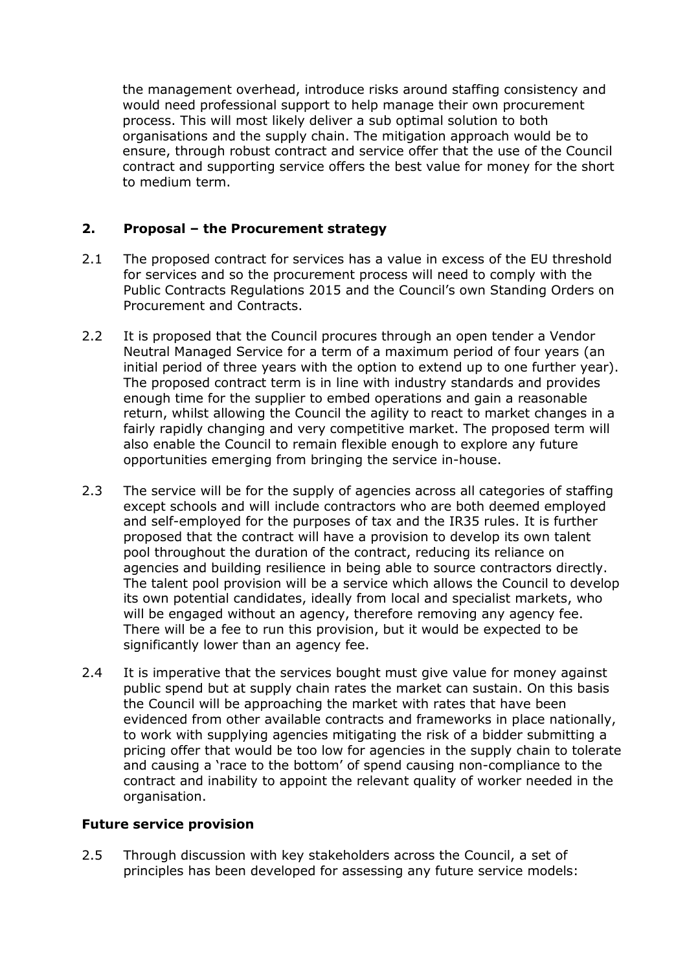the management overhead, introduce risks around staffing consistency and would need professional support to help manage their own procurement process. This will most likely deliver a sub optimal solution to both organisations and the supply chain. The mitigation approach would be to ensure, through robust contract and service offer that the use of the Council contract and supporting service offers the best value for money for the short to medium term.

## **2. Proposal – the Procurement strategy**

- 2.1 The proposed contract for services has a value in excess of the EU threshold for services and so the procurement process will need to comply with the Public Contracts Regulations 2015 and the Council's own Standing Orders on Procurement and Contracts.
- 2.2 It is proposed that the Council procures through an open tender a Vendor Neutral Managed Service for a term of a maximum period of four years (an initial period of three years with the option to extend up to one further year). The proposed contract term is in line with industry standards and provides enough time for the supplier to embed operations and gain a reasonable return, whilst allowing the Council the agility to react to market changes in a fairly rapidly changing and very competitive market. The proposed term will also enable the Council to remain flexible enough to explore any future opportunities emerging from bringing the service in-house.
- 2.3 The service will be for the supply of agencies across all categories of staffing except schools and will include contractors who are both deemed employed and self-employed for the purposes of tax and the IR35 rules. It is further proposed that the contract will have a provision to develop its own talent pool throughout the duration of the contract, reducing its reliance on agencies and building resilience in being able to source contractors directly. The talent pool provision will be a service which allows the Council to develop its own potential candidates, ideally from local and specialist markets, who will be engaged without an agency, therefore removing any agency fee. There will be a fee to run this provision, but it would be expected to be significantly lower than an agency fee.
- 2.4 It is imperative that the services bought must give value for money against public spend but at supply chain rates the market can sustain. On this basis the Council will be approaching the market with rates that have been evidenced from other available contracts and frameworks in place nationally, to work with supplying agencies mitigating the risk of a bidder submitting a pricing offer that would be too low for agencies in the supply chain to tolerate and causing a 'race to the bottom' of spend causing non-compliance to the contract and inability to appoint the relevant quality of worker needed in the organisation.

#### **Future service provision**

2.5 Through discussion with key stakeholders across the Council, a set of principles has been developed for assessing any future service models: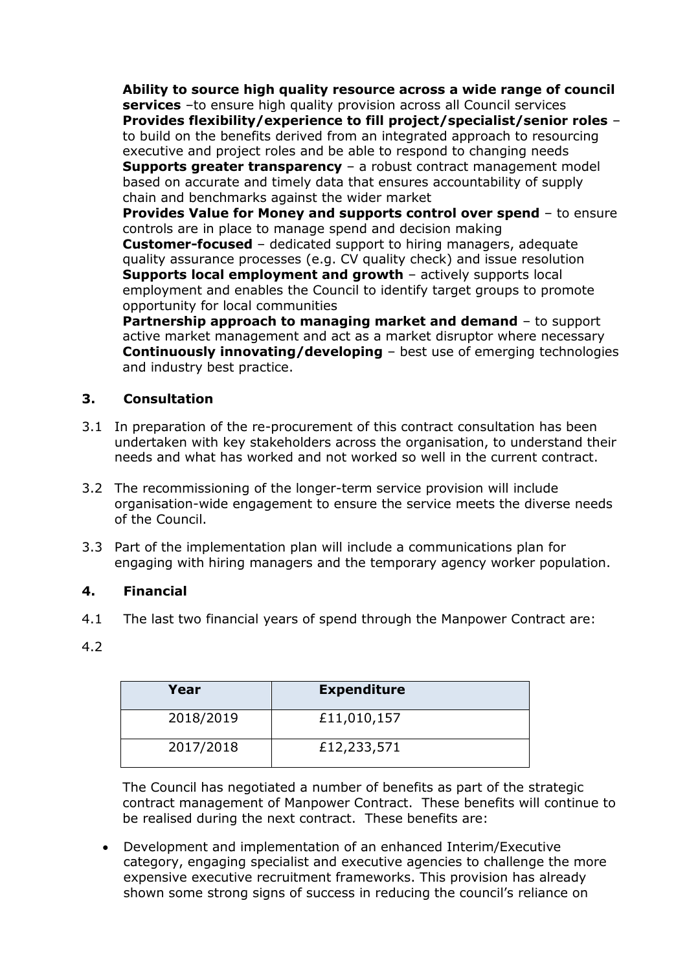**Ability to source high quality resource across a wide range of council services** –to ensure high quality provision across all Council services **Provides flexibility/experience to fill project/specialist/senior roles** – to build on the benefits derived from an integrated approach to resourcing executive and project roles and be able to respond to changing needs **Supports greater transparency** – a robust contract management model based on accurate and timely data that ensures accountability of supply chain and benchmarks against the wider market **Provides Value for Money and supports control over spend** – to ensure

controls are in place to manage spend and decision making **Customer-focused** – dedicated support to hiring managers, adequate quality assurance processes (e.g. CV quality check) and issue resolution **Supports local employment and growth** – actively supports local employment and enables the Council to identify target groups to promote opportunity for local communities

**Partnership approach to managing market and demand** – to support active market management and act as a market disruptor where necessary **Continuously innovating/developing** – best use of emerging technologies and industry best practice.

# **3. Consultation**

- 3.1 In preparation of the re-procurement of this contract consultation has been undertaken with key stakeholders across the organisation, to understand their needs and what has worked and not worked so well in the current contract.
- 3.2 The recommissioning of the longer-term service provision will include organisation-wide engagement to ensure the service meets the diverse needs of the Council.
- 3.3 Part of the implementation plan will include a communications plan for engaging with hiring managers and the temporary agency worker population.

## **4. Financial**

- 4.1 The last two financial years of spend through the Manpower Contract are:
- 4.2

| Year      | <b>Expenditure</b> |
|-----------|--------------------|
| 2018/2019 | £11,010,157        |
| 2017/2018 | £12,233,571        |

The Council has negotiated a number of benefits as part of the strategic contract management of Manpower Contract. These benefits will continue to be realised during the next contract. These benefits are:

 Development and implementation of an enhanced Interim/Executive category, engaging specialist and executive agencies to challenge the more expensive executive recruitment frameworks. This provision has already shown some strong signs of success in reducing the council's reliance on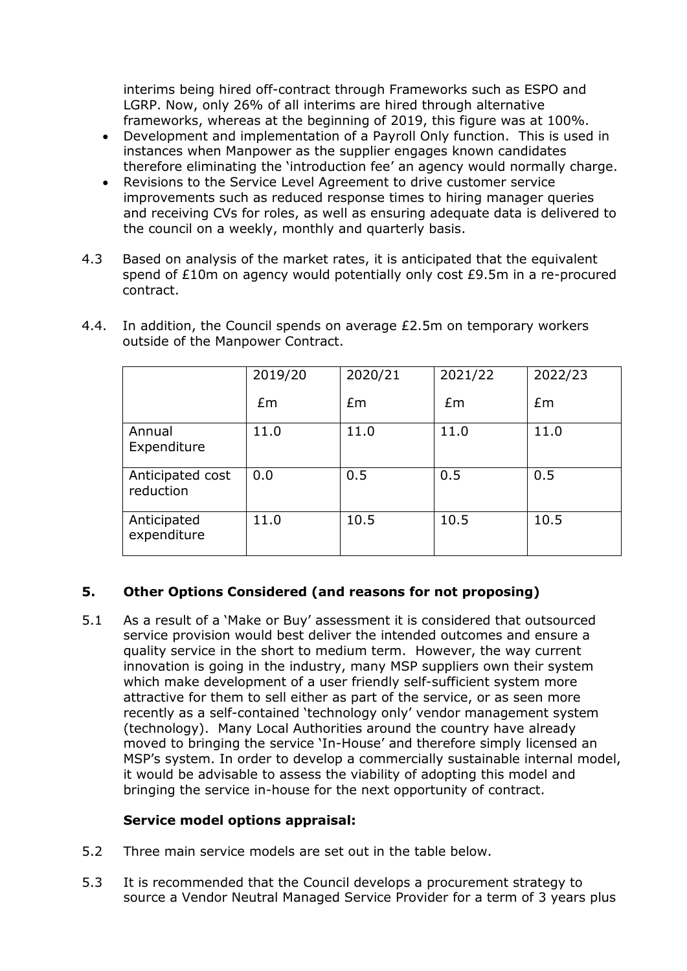interims being hired off-contract through Frameworks such as ESPO and LGRP. Now, only 26% of all interims are hired through alternative frameworks, whereas at the beginning of 2019, this figure was at 100%.

- Development and implementation of a Payroll Only function. This is used in instances when Manpower as the supplier engages known candidates therefore eliminating the 'introduction fee' an agency would normally charge.
- Revisions to the Service Level Agreement to drive customer service improvements such as reduced response times to hiring manager queries and receiving CVs for roles, as well as ensuring adequate data is delivered to the council on a weekly, monthly and quarterly basis.
- 4.3 Based on analysis of the market rates, it is anticipated that the equivalent spend of £10m on agency would potentially only cost £9.5m in a re-procured contract.

|                               | 2019/20 | 2020/21 | 2021/22 | 2022/23 |
|-------------------------------|---------|---------|---------|---------|
|                               | £m      | £m      | Em      | Em      |
| Annual<br>Expenditure         | 11.0    | 11.0    | 11.0    | 11.0    |
| Anticipated cost<br>reduction | 0.0     | 0.5     | 0.5     | 0.5     |
| Anticipated<br>expenditure    | 11.0    | 10.5    | 10.5    | 10.5    |

4.4. In addition, the Council spends on average £2.5m on temporary workers outside of the Manpower Contract.

## **5. Other Options Considered (and reasons for not proposing)**

5.1 As a result of a 'Make or Buy' assessment it is considered that outsourced service provision would best deliver the intended outcomes and ensure a quality service in the short to medium term. However, the way current innovation is going in the industry, many MSP suppliers own their system which make development of a user friendly self-sufficient system more attractive for them to sell either as part of the service, or as seen more recently as a self-contained 'technology only' vendor management system (technology). Many Local Authorities around the country have already moved to bringing the service 'In-House' and therefore simply licensed an MSP's system. In order to develop a commercially sustainable internal model, it would be advisable to assess the viability of adopting this model and bringing the service in-house for the next opportunity of contract.

### **Service model options appraisal:**

- 5.2 Three main service models are set out in the table below.
- 5.3 It is recommended that the Council develops a procurement strategy to source a Vendor Neutral Managed Service Provider for a term of 3 years plus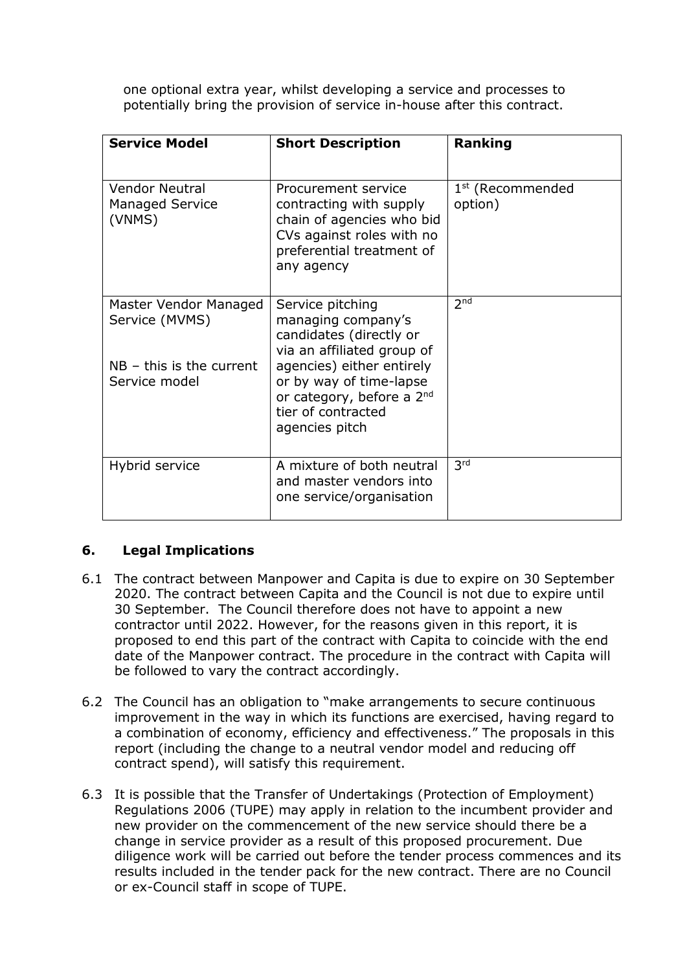one optional extra year, whilst developing a service and processes to potentially bring the provision of service in-house after this contract.

| <b>Service Model</b>                                                                   | <b>Short Description</b>                                                                                                                                                                                                     | Ranking                                 |
|----------------------------------------------------------------------------------------|------------------------------------------------------------------------------------------------------------------------------------------------------------------------------------------------------------------------------|-----------------------------------------|
| <b>Vendor Neutral</b><br><b>Managed Service</b><br>(VNMS)                              | Procurement service<br>contracting with supply<br>chain of agencies who bid<br>CVs against roles with no<br>preferential treatment of<br>any agency                                                                          | 1 <sup>st</sup> (Recommended<br>option) |
| Master Vendor Managed<br>Service (MVMS)<br>$NB - this$ is the current<br>Service model | Service pitching<br>managing company's<br>candidates (directly or<br>via an affiliated group of<br>agencies) either entirely<br>or by way of time-lapse<br>or category, before a 2nd<br>tier of contracted<br>agencies pitch | 2 <sub>nd</sub>                         |
| Hybrid service                                                                         | A mixture of both neutral<br>and master vendors into<br>one service/organisation                                                                                                                                             | 3 <sup>rd</sup>                         |

## **6. Legal Implications**

- 6.1 The contract between Manpower and Capita is due to expire on 30 September 2020. The contract between Capita and the Council is not due to expire until 30 September. The Council therefore does not have to appoint a new contractor until 2022. However, for the reasons given in this report, it is proposed to end this part of the contract with Capita to coincide with the end date of the Manpower contract. The procedure in the contract with Capita will be followed to vary the contract accordingly.
- 6.2 The Council has an obligation to "make arrangements to secure continuous improvement in the way in which its functions are exercised, having regard to a combination of economy, efficiency and effectiveness." The proposals in this report (including the change to a neutral vendor model and reducing off contract spend), will satisfy this requirement.
- 6.3 It is possible that the Transfer of Undertakings (Protection of Employment) Regulations 2006 (TUPE) may apply in relation to the incumbent provider and new provider on the commencement of the new service should there be a change in service provider as a result of this proposed procurement. Due diligence work will be carried out before the tender process commences and its results included in the tender pack for the new contract. There are no Council or ex-Council staff in scope of TUPE.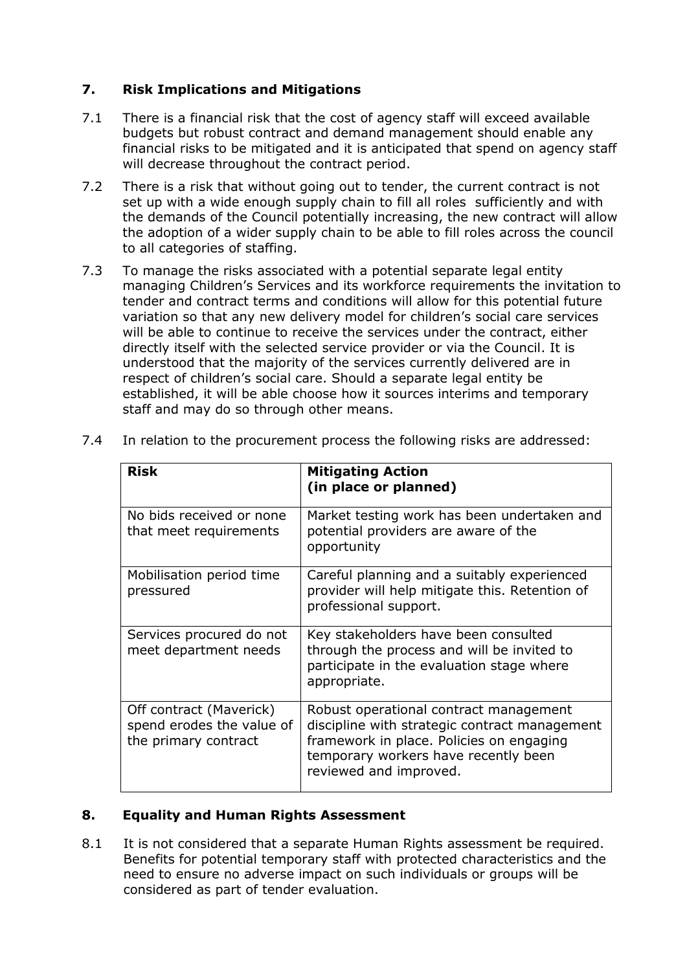## **7. Risk Implications and Mitigations**

- 7.1 There is a financial risk that the cost of agency staff will exceed available budgets but robust contract and demand management should enable any financial risks to be mitigated and it is anticipated that spend on agency staff will decrease throughout the contract period.
- 7.2 There is a risk that without going out to tender, the current contract is not set up with a wide enough supply chain to fill all roles sufficiently and with the demands of the Council potentially increasing, the new contract will allow the adoption of a wider supply chain to be able to fill roles across the council to all categories of staffing.
- 7.3 To manage the risks associated with a potential separate legal entity managing Children's Services and its workforce requirements the invitation to tender and contract terms and conditions will allow for this potential future variation so that any new delivery model for children's social care services will be able to continue to receive the services under the contract, either directly itself with the selected service provider or via the Council. It is understood that the majority of the services currently delivered are in respect of children's social care. Should a separate legal entity be established, it will be able choose how it sources interims and temporary staff and may do so through other means.

| <b>Risk</b>                                                                  | <b>Mitigating Action</b><br>(in place or planned)                                                                                                                                                     |
|------------------------------------------------------------------------------|-------------------------------------------------------------------------------------------------------------------------------------------------------------------------------------------------------|
| No bids received or none<br>that meet requirements                           | Market testing work has been undertaken and<br>potential providers are aware of the<br>opportunity                                                                                                    |
| Mobilisation period time<br>pressured                                        | Careful planning and a suitably experienced<br>provider will help mitigate this. Retention of<br>professional support.                                                                                |
| Services procured do not<br>meet department needs                            | Key stakeholders have been consulted<br>through the process and will be invited to<br>participate in the evaluation stage where<br>appropriate.                                                       |
| Off contract (Maverick)<br>spend erodes the value of<br>the primary contract | Robust operational contract management<br>discipline with strategic contract management<br>framework in place. Policies on engaging<br>temporary workers have recently been<br>reviewed and improved. |

7.4 In relation to the procurement process the following risks are addressed:

#### **8. Equality and Human Rights Assessment**

8.1 It is not considered that a separate Human Rights assessment be required. Benefits for potential temporary staff with protected characteristics and the need to ensure no adverse impact on such individuals or groups will be considered as part of tender evaluation.